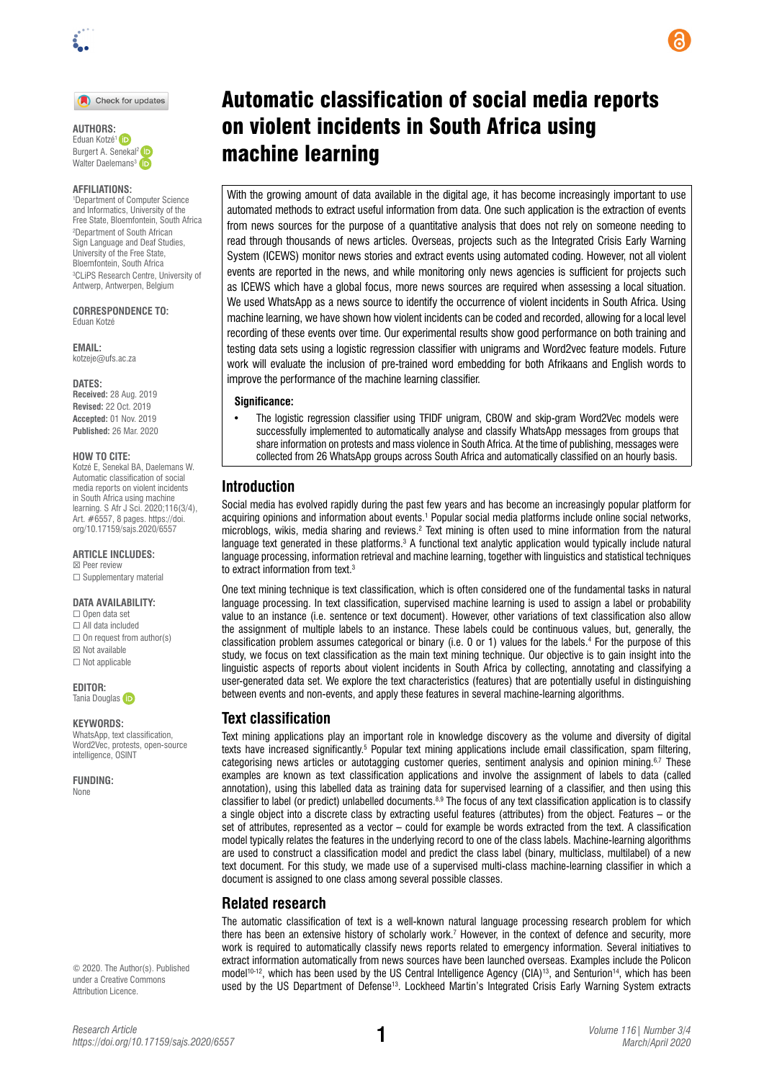

Check for updates

**AUTHORS:**  Eduan Kotzé[1](https://orcid.org/0000-0002-5572-4319)  Burgert A. Senekal<sup>2</sup> **iD** Walter Daelemans<sup>[3](https://orcid.org/0000-0002-9832-7890)</sup>

#### **AFFILIATIONS:**

1 Department of Computer Science and Informatics, University of the Free State, Bloemfontein, South Africa 2 Department of South African Sign Language and Deaf Studies, University of the Free State, Bloemfontein, South Africa 3 CLiPS Research Centre, University of Antwerp, Antwerpen, Belgium

**CORRESPONDENCE TO:**  Eduan Kotzé

**EMAIL:**  [kotzeje@ufs.ac.za](mailto:kotzeje@ufs.ac.za) 

#### **DATES:**

**Received:** 28 Aug. 2019 **Revised:** 22 Oct. 2019 **Accepted:** 01 Nov. 2019 **Published:** 26 Mar. 2020

#### **HOW TO CITE:**

Kotzé E, Senekal BA, Daelemans W. Automatic classification of social media reports on violent incidents in South Africa using machine learning. S Afr J Sci. 2020;116(3/4), Art. #6557, 8 pages. [https://doi.](https://doi.org/10.17159/sajs.2020/6557) [org/10.17159/sajs.2020/6557](https://doi.org/10.17159/sajs.2020/6557) 

**ARTICLE INCLUDES:** ☒ Peer review

□ Supplementary material

#### **DATA AVAILABILITY:**

☐ Open data set ☐ All data included  $\Box$  On request from author(s) ☒ Not available  $\Box$  Not applicable

**EDITOR:**  TaniaDouglas

#### **KEYWORDS:**

WhatsApp, text classification, Word2Vec, protests, open-source intelligence, OSINT

**FUNDING:**  None

© 2020. The Author(s). Published under a [Creative Commons](https://creativecommons.org/licenses/by/4.0/)  [Attribution Licence](https://creativecommons.org/licenses/by/4.0/).

# Automatic classification of social media reports on violent incidents in South Africa using machine learning

With the growing amount of data available in the digital age, it has become increasingly important to use automated methods to extract useful information from data. One such application is the extraction of events from news sources for the purpose of a quantitative analysis that does not rely on someone needing to read through thousands of news articles. Overseas, projects such as the Integrated Crisis Early Warning System (ICEWS) monitor news stories and extract events using automated coding. However, not all violent events are reported in the news, and while monitoring only news agencies is sufficient for projects such as ICEWS which have a global focus, more news sources are required when assessing a local situation. We used WhatsApp as a news source to identify the occurrence of violent incidents in South Africa. Using machine learning, we have shown how violent incidents can be coded and recorded, allowing for a local level recording of these events over time. Our experimental results show good performance on both training and testing data sets using a logistic regression classifier with unigrams and Word2vec feature models. Future work will evaluate the inclusion of pre-trained word embedding for both Afrikaans and English words to improve the performance of the machine learning classifier.

#### **Significance:**

• The logistic regression classifier using TFIDF unigram, CBOW and skip-gram Word2Vec models were successfully implemented to automatically analyse and classify WhatsApp messages from groups that share information on protests and mass violence in South Africa. At the time of publishing, messages were collected from 26 WhatsApp groups across South Africa and automatically classified on an hourly basis.

# **Introduction**

Social media has evolved rapidly during the past few years and has become an increasingly popular platform for acquiring opinions and information about events.1 Popular social media platforms include online social networks, microblogs, wikis, media sharing and reviews.<sup>2</sup> Text mining is often used to mine information from the natural language text generated in these platforms.<sup>3</sup> A functional text analytic application would typically include natural language processing, information retrieval and machine learning, together with linguistics and statistical techniques to extract information from text.3

One text mining technique is text classification, which is often considered one of the fundamental tasks in natural language processing. In text classification, supervised machine learning is used to assign a label or probability value to an instance (i.e. sentence or text document). However, other variations of text classification also allow the assignment of multiple labels to an instance. These labels could be continuous values, but, generally, the classification problem assumes categorical or binary (i.e. 0 or 1) values for the labels.4 For the purpose of this study, we focus on text classification as the main text mining technique. Our objective is to gain insight into the linguistic aspects of reports about violent incidents in South Africa by collecting, annotating and classifying a user-generated data set. We explore the text characteristics (features) that are potentially useful in distinguishing between events and non-events, and apply these features in several machine-learning algorithms.

# **Text classification**

Text mining applications play an important role in knowledge discovery as the volume and diversity of digital texts have increased significantly.<sup>5</sup> Popular text mining applications include email classification, spam filtering, categorising news articles or autotagging customer queries, sentiment analysis and opinion mining.<sup>6,7</sup> These examples are known as text classification applications and involve the assignment of labels to data (called annotation), using this labelled data as training data for supervised learning of a classifier, and then using this classifier to label (or predict) unlabelled documents.<sup>8,9</sup> The focus of any text classification application is to classify a single object into a discrete class by extracting useful features (attributes) from the object. Features – or the set of attributes, represented as a vector – could for example be words extracted from the text. A classification model typically relates the features in the underlying record to one of the class labels. Machine-learning algorithms are used to construct a classification model and predict the class label (binary, multiclass, multilabel) of a new text document. For this study, we made use of a supervised multi-class machine-learning classifier in which a document is assigned to one class among several possible classes.

# **Related research**

The automatic classification of text is a well-known natural language processing research problem for which there has been an extensive history of scholarly work.7 However, in the context of defence and security, more work is required to automatically classify news reports related to emergency information. Several initiatives to extract information automatically from news sources have been launched overseas. Examples include the Policon model<sup>10-12</sup>, which has been used by the US Central Intelligence Agency (CIA)<sup>13</sup>, and Senturion<sup>14</sup>, which has been used by the US Department of Defense13. Lockheed Martin's Integrated Crisis Early Warning System extracts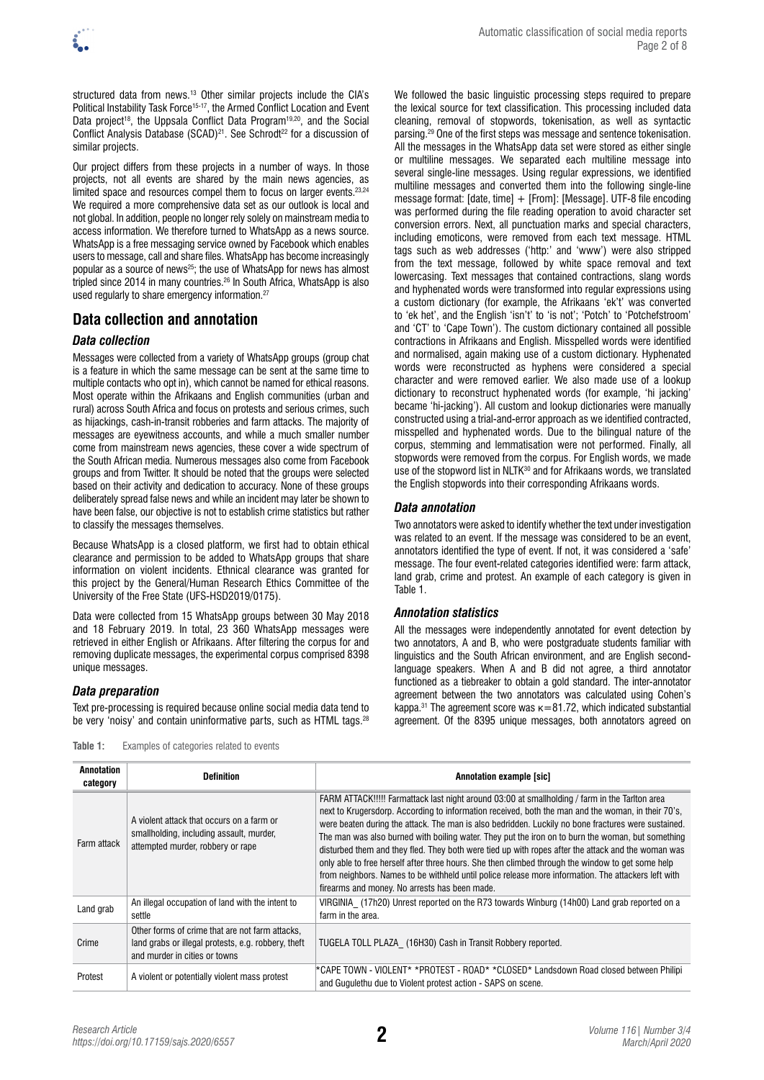structured data from news.<sup>13</sup> Other similar projects include the CIA's Political Instability Task Force<sup>15-17</sup>, the Armed Conflict Location and Event Data project<sup>18</sup>, the Uppsala Conflict Data Program<sup>19,20</sup>, and the Social Conflict Analysis Database (SCAD)<sup>21</sup>. See Schrodt<sup>22</sup> for a discussion of similar projects.

Our project differs from these projects in a number of ways. In those projects, not all events are shared by the main news agencies, as limited space and resources compel them to focus on larger events.23,24 We required a more comprehensive data set as our outlook is local and not global. In addition, people no longer rely solely on mainstream media to access information. We therefore turned to WhatsApp as a news source. WhatsApp is a free messaging service owned by Facebook which enables users to message, call and share files. WhatsApp has become increasingly popular as a source of news<sup>25</sup>; the use of WhatsApp for news has almost tripled since 2014 in many countries.26 In South Africa, WhatsApp is also used regularly to share emergency information.<sup>27</sup>

# **Data collection and annotation**

# *Data collection*

Messages were collected from a variety of WhatsApp groups (group chat is a feature in which the same message can be sent at the same time to multiple contacts who opt in), which cannot be named for ethical reasons. Most operate within the Afrikaans and English communities (urban and rural) across South Africa and focus on protests and serious crimes, such as hijackings, cash-in-transit robberies and farm attacks. The majority of messages are eyewitness accounts, and while a much smaller number come from mainstream news agencies, these cover a wide spectrum of the South African media. Numerous messages also come from Facebook groups and from Twitter. It should be noted that the groups were selected based on their activity and dedication to accuracy. None of these groups deliberately spread false news and while an incident may later be shown to have been false, our objective is not to establish crime statistics but rather to classify the messages themselves.

Because WhatsApp is a closed platform, we first had to obtain ethical clearance and permission to be added to WhatsApp groups that share information on violent incidents. Ethnical clearance was granted for this project by the General/Human Research Ethics Committee of the University of the Free State (UFS-HSD2019/0175).

Data were collected from 15 WhatsApp groups between 30 May 2018 and 18 February 2019. In total, 23 360 WhatsApp messages were retrieved in either English or Afrikaans. After filtering the corpus for and removing duplicate messages, the experimental corpus comprised 8398 unique messages.

# *Data preparation*

Text pre-processing is required because online social media data tend to be very 'noisy' and contain uninformative parts, such as HTML tags.<sup>28</sup>

**Table 1:** Examples of categories related to events

We followed the basic linguistic processing steps required to prepare the lexical source for text classification. This processing included data cleaning, removal of stopwords, tokenisation, as well as syntactic parsing.29 One of the first steps was message and sentence tokenisation. All the messages in the WhatsApp data set were stored as either single or multiline messages. We separated each multiline message into several single-line messages. Using regular expressions, we identified multiline messages and converted them into the following single-line message format: [date, time] + [From]: [Message]. UTF-8 file encoding was performed during the file reading operation to avoid character set conversion errors. Next, all punctuation marks and special characters, including emoticons, were removed from each text message. HTML tags such as web addresses ('http:' and 'www') were also stripped from the text message, followed by white space removal and text lowercasing. Text messages that contained contractions, slang words and hyphenated words were transformed into regular expressions using a custom dictionary (for example, the Afrikaans 'ek't' was converted to 'ek het', and the English 'isn't' to 'is not'; 'Potch' to 'Potchefstroom' and 'CT' to 'Cape Town'). The custom dictionary contained all possible contractions in Afrikaans and English. Misspelled words were identified and normalised, again making use of a custom dictionary. Hyphenated words were reconstructed as hyphens were considered a special character and were removed earlier. We also made use of a lookup dictionary to reconstruct hyphenated words (for example, 'hi jacking' became 'hi-jacking'). All custom and lookup dictionaries were manually constructed using a trial-and-error approach as we identified contracted, misspelled and hyphenated words. Due to the bilingual nature of the corpus, stemming and lemmatisation were not performed. Finally, all stopwords were removed from the corpus. For English words, we made use of the stopword list in NLTK<sup>30</sup> and for Afrikaans words, we translated the English stopwords into their corresponding Afrikaans words.

# *Data annotation*

Two annotators were asked to identify whether the text under investigation was related to an event. If the message was considered to be an event, annotators identified the type of event. If not, it was considered a 'safe' message. The four event-related categories identified were: farm attack, land grab, crime and protest. An example of each category is given in Table 1.

# *Annotation statistics*

All the messages were independently annotated for event detection by two annotators, A and B, who were postgraduate students familiar with linguistics and the South African environment, and are English secondlanguage speakers. When A and B did not agree, a third annotator functioned as a tiebreaker to obtain a gold standard. The inter-annotator agreement between the two annotators was calculated using Cohen's kappa.<sup>31</sup> The agreement score was  $\kappa$ =81.72, which indicated substantial agreement. Of the 8395 unique messages, both annotators agreed on

| Annotation<br>category | <b>Definition</b>                                                                                                                       | <b>Annotation example [sic]</b>                                                                                                                                                                                                                                                                                                                                                                                                                                                                                                                                                                                                                                                                                                                                                     |
|------------------------|-----------------------------------------------------------------------------------------------------------------------------------------|-------------------------------------------------------------------------------------------------------------------------------------------------------------------------------------------------------------------------------------------------------------------------------------------------------------------------------------------------------------------------------------------------------------------------------------------------------------------------------------------------------------------------------------------------------------------------------------------------------------------------------------------------------------------------------------------------------------------------------------------------------------------------------------|
| Farm attack            | A violent attack that occurs on a farm or<br>smallholding, including assault, murder,<br>attempted murder, robbery or rape              | FARM ATTACK!!!!! Farmattack last night around 03:00 at smallholding / farm in the Tarlton area<br>next to Krugersdorp. According to information received, both the man and the woman, in their 70's,<br>were beaten during the attack. The man is also bedridden. Luckily no bone fractures were sustained.<br>The man was also burned with boiling water. They put the iron on to burn the woman, but something<br>disturbed them and they fled. They both were tied up with ropes after the attack and the woman was<br>only able to free herself after three hours. She then climbed through the window to get some help<br>from neighbors. Names to be withheld until police release more information. The attackers left with<br>firearms and money. No arrests has been made. |
| Land grab              | An illegal occupation of land with the intent to<br>settle                                                                              | VIRGINIA (17h20) Unrest reported on the R73 towards Winburg (14h00) Land grab reported on a<br>farm in the area.                                                                                                                                                                                                                                                                                                                                                                                                                                                                                                                                                                                                                                                                    |
| Crime                  | Other forms of crime that are not farm attacks,<br>land grabs or illegal protests, e.g. robbery, theft<br>and murder in cities or towns | TUGELA TOLL PLAZA (16H30) Cash in Transit Robbery reported.                                                                                                                                                                                                                                                                                                                                                                                                                                                                                                                                                                                                                                                                                                                         |
| Protest                | A violent or potentially violent mass protest                                                                                           | *CAPE TOWN - VIOLENT* *PROTEST - ROAD* *CLOSED* Landsdown Road closed between Philipi<br>and Gugulethu due to Violent protest action - SAPS on scene.                                                                                                                                                                                                                                                                                                                                                                                                                                                                                                                                                                                                                               |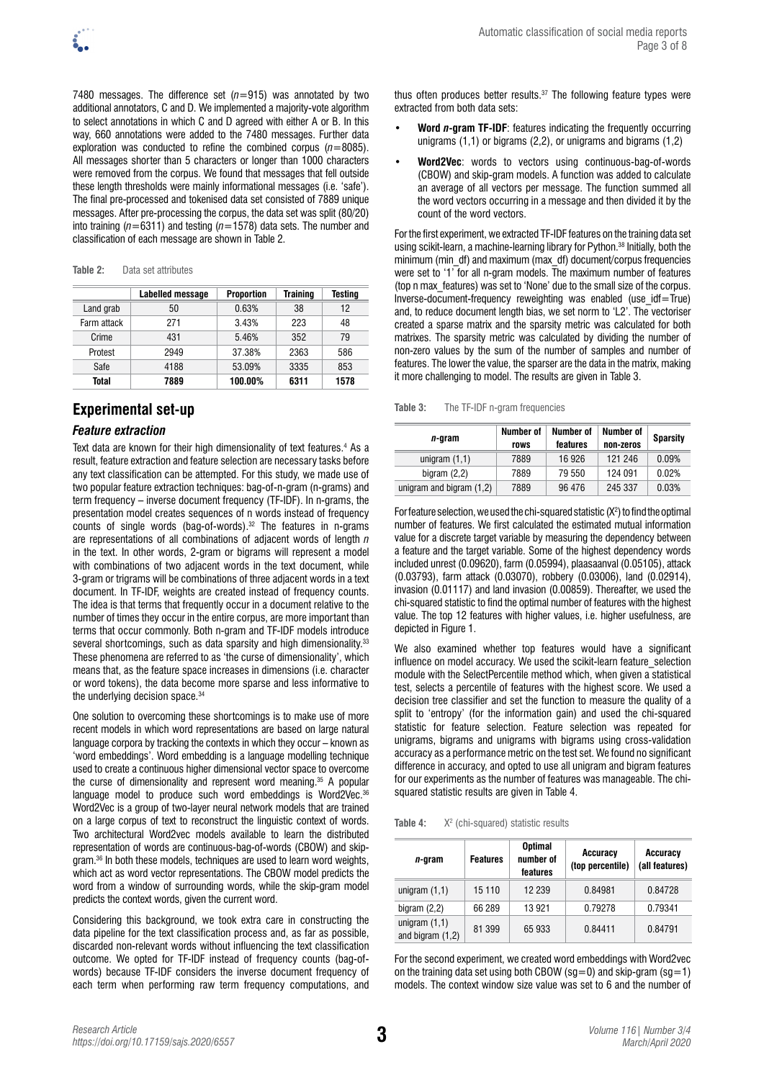7480 messages. The difference set  $(n=915)$  was annotated by two additional annotators, C and D. We implemented a majority-vote algorithm to select annotations in which C and D agreed with either A or B. In this way, 660 annotations were added to the 7480 messages. Further data exploration was conducted to refine the combined corpus (*n*=8085). All messages shorter than 5 characters or longer than 1000 characters were removed from the corpus. We found that messages that fell outside these length thresholds were mainly informational messages (i.e. 'safe'). The final pre-processed and tokenised data set consisted of 7889 unique messages. After pre-processing the corpus, the data set was split (80/20) into training (*n*=6311) and testing (*n*=1578) data sets. The number and classification of each message are shown in Table 2.

|             | Labelled message | <b>Proportion</b> | Training | Testing |
|-------------|------------------|-------------------|----------|---------|
| Land grab   | 50               | 0.63%             | 38       | 12      |
| Farm attack | 271              | 3.43%             | 223      | 48      |
| Crime       | 431              | 5.46%             | 352      | 79      |
| Protest     | 2949             | 37.38%            | 2363     | 586     |
| Safe        | 4188             | 53.09%            | 3335     | 853     |
| Total       | 7889             | 100.00%           | 6311     | 1578    |

# **Experimental set-up**

# *Feature extraction*

Text data are known for their high dimensionality of text features.<sup>4</sup> As a result, feature extraction and feature selection are necessary tasks before any text classification can be attempted. For this study, we made use of two popular feature extraction techniques: bag-of-n-gram (n-grams) and term frequency – inverse document frequency (TF-IDF). In n-grams, the presentation model creates sequences of n words instead of frequency counts of single words (bag-of-words).<sup>32</sup> The features in n-grams are representations of all combinations of adjacent words of length *n*  in the text. In other words, 2-gram or bigrams will represent a model with combinations of two adjacent words in the text document, while 3-gram or trigrams will be combinations of three adjacent words in a text document. In TF-IDF, weights are created instead of frequency counts. The idea is that terms that frequently occur in a document relative to the number of times they occur in the entire corpus, are more important than terms that occur commonly. Both n-gram and TF-IDF models introduce several shortcomings, such as data sparsity and high dimensionality.<sup>33</sup> These phenomena are referred to as 'the curse of dimensionality', which means that, as the feature space increases in dimensions (i.e. character or word tokens), the data become more sparse and less informative to the underlying decision space.<sup>34</sup>

One solution to overcoming these shortcomings is to make use of more recent models in which word representations are based on large natural language corpora by tracking the contexts in which they occur – known as 'word embeddings'. Word embedding is a language modelling technique used to create a continuous higher dimensional vector space to overcome the curse of dimensionality and represent word meaning.35 A popular language model to produce such word embeddings is Word2Vec.<sup>36</sup> Word2Vec is a group of two-layer neural network models that are trained on a large corpus of text to reconstruct the linguistic context of words. Two architectural Word2vec models available to learn the distributed representation of words are continuous-bag-of-words (CBOW) and skipgram.36 In both these models, techniques are used to learn word weights, which act as word vector representations. The CBOW model predicts the word from a window of surrounding words, while the skip-gram model predicts the context words, given the current word.

Considering this background, we took extra care in constructing the data pipeline for the text classification process and, as far as possible, discarded non-relevant words without influencing the text classification outcome. We opted for TF-IDF instead of frequency counts (bag-ofwords) because TF-IDF considers the inverse document frequency of each term when performing raw term frequency computations, and thus often produces better results. $37$  The following feature types were extracted from both data sets:

- **Word** *n***-gram TF-IDF**: features indicating the frequently occurring unigrams (1,1) or bigrams (2,2), or unigrams and bigrams (1,2)
- **Word2Vec**: words to vectors using continuous-bag-of-words (CBOW) and skip-gram models. A function was added to calculate an average of all vectors per message. The function summed all the word vectors occurring in a message and then divided it by the count of the word vectors.

For the first experiment, we extracted TF-IDF features on the training data set using scikit-learn, a machine-learning library for Python.<sup>38</sup> Initially, both the minimum (min\_df) and maximum (max\_df) document/corpus frequencies were set to '1' for all n-gram models. The maximum number of features (top n max\_features) was set to 'None' due to the small size of the corpus. Inverse-document-frequency reweighting was enabled (use\_idf=True) and, to reduce document length bias, we set norm to 'L2'. The vectoriser created a sparse matrix and the sparsity metric was calculated for both matrixes. The sparsity metric was calculated by dividing the number of non-zero values by the sum of the number of samples and number of features. The lower the value, the sparser are the data in the matrix, making it more challenging to model. The results are given in Table 3.

**Table 3:** The TF-IDF n-gram frequencies

| n-gram                     | Number of<br>rows | Number of<br>features | Number of<br>non-zeros | <b>Sparsity</b> |
|----------------------------|-------------------|-----------------------|------------------------|-----------------|
| unigram $(1,1)$            | 7889              | 16926                 | 121 246                | 0.09%           |
| bigram $(2,2)$             | 7889              | 79 550                | 124 091                | 0.02%           |
| unigram and bigram $(1,2)$ | 7889              | 96 476                | 245 337                | 0.03%           |

For feature selection, we used the chi-squared statistic  $(X^2)$  to find the optimal number of features. We first calculated the estimated mutual information value for a discrete target variable by measuring the dependency between a feature and the target variable. Some of the highest dependency words included unrest (0.09620), farm (0.05994), plaasaanval (0.05105), attack (0.03793), farm attack (0.03070), robbery (0.03006), land (0.02914), invasion (0.01117) and land invasion (0.00859). Thereafter, we used the chi-squared statistic to find the optimal number of features with the highest value. The top 12 features with higher values, i.e. higher usefulness, are depicted in Figure 1.

We also examined whether top features would have a significant influence on model accuracy. We used the scikit-learn feature selection module with the SelectPercentile method which, when given a statistical test, selects a percentile of features with the highest score. We used a decision tree classifier and set the function to measure the quality of a split to 'entropy' (for the information gain) and used the chi-squared statistic for feature selection. Feature selection was repeated for unigrams, bigrams and unigrams with bigrams using cross-validation accuracy as a performance metric on the test set. We found no significant difference in accuracy, and opted to use all unigram and bigram features for our experiments as the number of features was manageable. The chisquared statistic results are given in Table 4.

**Table 4:**  $X<sup>2</sup>$  (chi-squared) statistic results

| n-gram                                | <b>Features</b> | <b>Optimal</b><br>number of<br>features | Accuracy<br>(top percentile) | Accuracy<br>(all features) |
|---------------------------------------|-----------------|-----------------------------------------|------------------------------|----------------------------|
| unigram $(1,1)$                       | 15 110          | 12 239                                  | 0.84981                      | 0.84728                    |
| bigram $(2,2)$                        | 66 289          | 13 921                                  | 0.79278                      | 0.79341                    |
| unigram $(1,1)$<br>and bigram $(1,2)$ | 81 399          | 65 933                                  | 0.84411                      | 0.84791                    |

For the second experiment, we created word embeddings with Word2vec on the training data set using both CBOW (sq=0) and skip-gram (sq=1) models. The context window size value was set to 6 and the number of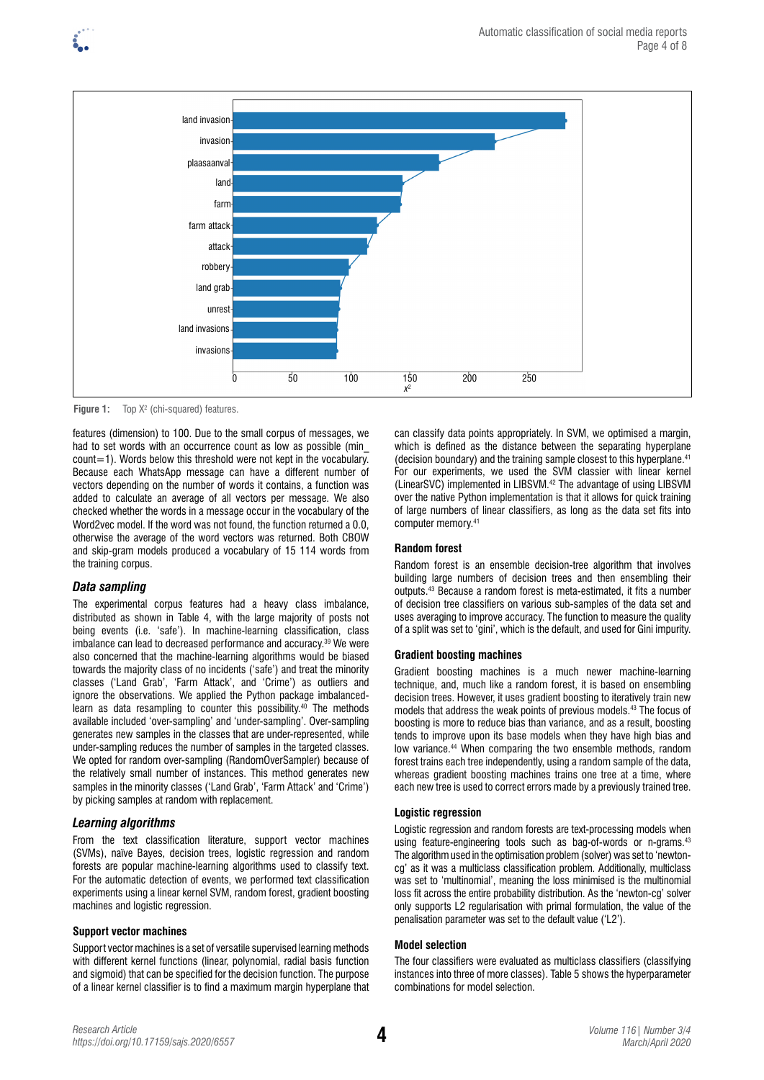

**Figure 1:** Top X<sup>2</sup> (chi-squared) features.

features (dimension) to 100. Due to the small corpus of messages, we had to set words with an occurrence count as low as possible (min\_ count=1). Words below this threshold were not kept in the vocabulary. Because each WhatsApp message can have a different number of vectors depending on the number of words it contains, a function was added to calculate an average of all vectors per message. We also checked whether the words in a message occur in the vocabulary of the Word2vec model. If the word was not found, the function returned a 0.0, otherwise the average of the word vectors was returned. Both CBOW and skip-gram models produced a vocabulary of 15 114 words from the training corpus.

## *Data sampling*

The experimental corpus features had a heavy class imbalance, distributed as shown in Table 4, with the large majority of posts not being events (i.e. 'safe'). In machine-learning classification, class imbalance can lead to decreased performance and accuracy.<sup>39</sup> We were also concerned that the machine-learning algorithms would be biased towards the majority class of no incidents ('safe') and treat the minority classes ('Land Grab', 'Farm Attack', and 'Crime') as outliers and ignore the observations. We applied the Python package imbalancedlearn as data resampling to counter this possibility.<sup>40</sup> The methods available included 'over-sampling' and 'under-sampling'. Over-sampling generates new samples in the classes that are under-represented, while under-sampling reduces the number of samples in the targeted classes. We opted for random over-sampling (RandomOverSampler) because of the relatively small number of instances. This method generates new samples in the minority classes ('Land Grab', 'Farm Attack' and 'Crime') by picking samples at random with replacement.

#### *Learning algorithms*

From the text classification literature, support vector machines (SVMs), naïve Bayes, decision trees, logistic regression and random forests are popular machine-learning algorithms used to classify text. For the automatic detection of events, we performed text classification experiments using a linear kernel SVM, random forest, gradient boosting machines and logistic regression.

#### **Support vector machines**

Support vector machines is a set of versatile supervised learning methods with different kernel functions (linear, polynomial, radial basis function and sigmoid) that can be specified for the decision function. The purpose of a linear kernel classifier is to find a maximum margin hyperplane that

can classify data points appropriately. In SVM, we optimised a margin, which is defined as the distance between the separating hyperplane (decision boundary) and the training sample closest to this hyperplane.41 For our experiments, we used the SVM classier with linear kernel (LinearSVC) implemented in LIBSVM.42 The advantage of using LIBSVM over the native Python implementation is that it allows for quick training of large numbers of linear classifiers, as long as the data set fits into computer memory.<sup>41</sup>

#### **Random forest**

Random forest is an ensemble decision-tree algorithm that involves building large numbers of decision trees and then ensembling their outputs.43 Because a random forest is meta-estimated, it fits a number of decision tree classifiers on various sub-samples of the data set and uses averaging to improve accuracy. The function to measure the quality of a split was set to 'gini', which is the default, and used for Gini impurity.

#### **Gradient boosting machines**

Gradient boosting machines is a much newer machine-learning technique, and, much like a random forest, it is based on ensembling decision trees. However, it uses gradient boosting to iteratively train new models that address the weak points of previous models.43 The focus of boosting is more to reduce bias than variance, and as a result, boosting tends to improve upon its base models when they have high bias and low variance.<sup>44</sup> When comparing the two ensemble methods, random forest trains each tree independently, using a random sample of the data, whereas gradient boosting machines trains one tree at a time, where each new tree is used to correct errors made by a previously trained tree.

#### **Logistic regression**

Logistic regression and random forests are text-processing models when using feature-engineering tools such as bag-of-words or n-grams.<sup>43</sup> The algorithm used in the optimisation problem (solver) was set to 'newtoncg' as it was a multiclass classification problem. Additionally, multiclass was set to 'multinomial', meaning the loss minimised is the multinomial loss fit across the entire probability distribution. As the 'newton-cg' solver only supports L2 regularisation with primal formulation, the value of the penalisation parameter was set to the default value ('L2').

#### **Model selection**

The four classifiers were evaluated as multiclass classifiers (classifying instances into three of more classes). Table 5 shows the hyperparameter combinations for model selection.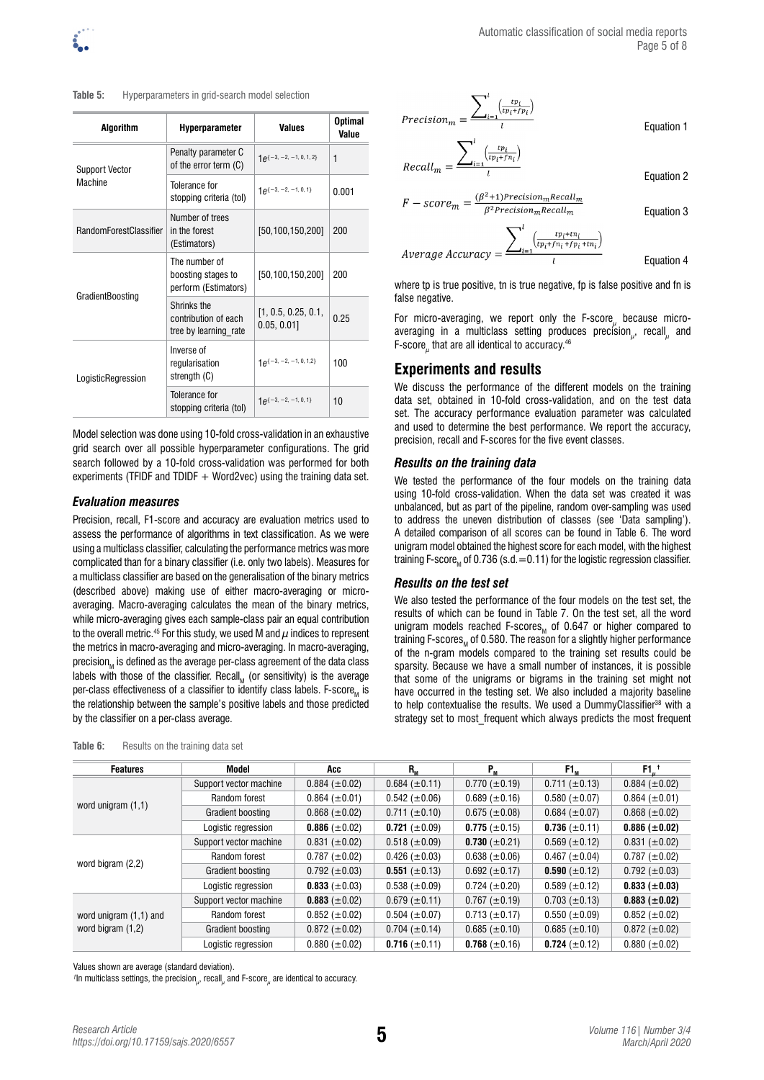**Table 5:** Hyperparameters in grid-search model selection

| <b>Algorithm</b>                                                                                                                                                                                                                                                                                                                                                                                                            | <b>Hyperparameter</b>                        | Values                | <b>Optimal</b><br>Value |
|-----------------------------------------------------------------------------------------------------------------------------------------------------------------------------------------------------------------------------------------------------------------------------------------------------------------------------------------------------------------------------------------------------------------------------|----------------------------------------------|-----------------------|-------------------------|
| <b>Support Vector</b>                                                                                                                                                                                                                                                                                                                                                                                                       | Penalty parameter C<br>of the error term (C) | $1e^{-3,-2,-1,0,1,2}$ | 1                       |
| Machine<br>Tolerance for<br>stopping criteria (tol)<br>Number of trees<br><b>RandomForestClassifier</b><br>in the forest<br>(Estimators)<br>The number of<br>boosting stages to<br>perform (Estimators)<br>GradientBoosting<br>Shrinks the<br>contribution of each<br>0.05, 0.01<br>tree by learning rate<br>Inverse of<br>regularisation<br>strength (C)<br>LogisticRegression<br>Tolerance for<br>stopping criteria (tol) | $1\rho$ {-3, -2, -1, 0, 1}                   | 0.001                 |                         |
|                                                                                                                                                                                                                                                                                                                                                                                                                             |                                              | [50,100,150,200]      | 200                     |
|                                                                                                                                                                                                                                                                                                                                                                                                                             |                                              | [50,100,150,200]      | 200                     |
|                                                                                                                                                                                                                                                                                                                                                                                                                             |                                              | [1, 0.5, 0.25, 0.1,   | 0.25                    |
|                                                                                                                                                                                                                                                                                                                                                                                                                             |                                              | $1e^{-3,-2,-1,0,1,2}$ | 100                     |
|                                                                                                                                                                                                                                                                                                                                                                                                                             |                                              | $1e^{-3,-2,-1,0,1}$   | 10                      |

Model selection was done using 10-fold cross-validation in an exhaustive grid search over all possible hyperparameter configurations. The grid search followed by a 10-fold cross-validation was performed for both experiments (TFIDF and TDIDF  $+$  Word2vec) using the training data set.

## *Evaluation measures*

Precision, recall, F1-score and accuracy are evaluation metrics used to assess the performance of algorithms in text classification. As we were using a multiclass classifier, calculating the performance metrics was more complicated than for a binary classifier (i.e. only two labels). Measures for a multiclass classifier are based on the generalisation of the binary metrics (described above) making use of either macro-averaging or microaveraging. Macro-averaging calculates the mean of the binary metrics, while micro-averaging gives each sample-class pair an equal contribution to the overall metric.<sup>45</sup> For this study, we used M and  $\mu$  indices to represent the metrics in macro-averaging and micro-averaging. In macro-averaging, precision, is defined as the average per-class agreement of the data class labels with those of the classifier. Recall, (or sensitivity) is the average per-class effectiveness of a classifier to identify class labels. F-score, is the relationship between the sample's positive labels and those predicted by the classifier on a per-class average.

| Table 6: | Results on the training data set |  |  |  |  |
|----------|----------------------------------|--|--|--|--|
|----------|----------------------------------|--|--|--|--|

 $Precision_m = \frac{\sum_{i=1}^{l} \left(\frac{tp_i}{tp_i + fp_i}\right)}{l}$  $\sum^{l}$  (*tp<sub>i</sub>*)

$$
Recall_m = \frac{\sum_{i=1}^{\lfloor \frac{r_i}{(tp_i + fn_i)} \rfloor}}{l}
$$

$$
F-score_m = \frac{(\beta^2 + 1)Precision_mRecall_m}{\beta^2 Precision_mRecall_m}
$$

 $\sum\nolimits_{i=1}^{l} \left( \frac{tp_i + tn_i}{tp_i + fn_i + fp_i + tn_i} \right)$ Average Accuracy

Equation 4

Equation 1

Equation 2

where tp is true positive, tn is true negative, fp is false positive and fn is false negative.

For micro-averaging, we report only the F-score $_{\mu}$  because microaveraging in a multiclass setting produces precision $_{\mu}$ , recall<sub> $_{\mu}$ </sub> and F-score<sub> $\mu$ </sub> that are all identical to accuracy.<sup>46</sup>

# **Experiments and results**

We discuss the performance of the different models on the training data set, obtained in 10-fold cross-validation, and on the test data set. The accuracy performance evaluation parameter was calculated and used to determine the best performance. We report the accuracy, precision, recall and F-scores for the five event classes.

#### *Results on the training data*

We tested the performance of the four models on the training data using 10-fold cross-validation. When the data set was created it was unbalanced, but as part of the pipeline, random over-sampling was used to address the uneven distribution of classes (see 'Data sampling'). A detailed comparison of all scores can be found in Table 6. The word unigram model obtained the highest score for each model, with the highest training F-score<sub>M</sub> of 0.736 (s.d.  $=$  0.11) for the logistic regression classifier.

### *Results on the test set*

We also tested the performance of the four models on the test set, the results of which can be found in Table 7. On the test set, all the word unigram models reached F-scores, of 0.647 or higher compared to training F-scores<sub> $u$ </sub> of 0.580. The reason for a slightly higher performance of the n-gram models compared to the training set results could be sparsity. Because we have a small number of instances, it is possible that some of the unigrams or bigrams in the training set might not have occurred in the testing set. We also included a majority baseline to help contextualise the results. We used a DummyClassifier<sup>38</sup> with a strategy set to most frequent which always predicts the most frequent

| <b>Features</b>          | Model                  | Acc                  | $R_{\rm M}$          | Р.,                  | F1.                  | $F1u$ <sup>t</sup>   |
|--------------------------|------------------------|----------------------|----------------------|----------------------|----------------------|----------------------|
|                          | Support vector machine | $0.884 \ (\pm 0.02)$ | $0.684 \ (\pm 0.11)$ | $0.770~(\pm 0.19)$   | $0.711 (\pm 0.13)$   | $0.884 \ (\pm 0.02)$ |
|                          | Random forest          | $0.864 \ (\pm 0.01)$ | $0.542 (\pm 0.06)$   | $0.689 \ (\pm 0.16)$ | $0.580 \ (\pm 0.07)$ | $0.864 (\pm 0.01)$   |
| word unigram $(1,1)$     | Gradient boosting      | $0.868 \ (\pm 0.02)$ | $0.711 (\pm 0.10)$   | $0.675 \ (\pm 0.08)$ | $0.684 \ (\pm 0.07)$ | $0.868 \ (\pm 0.02)$ |
|                          | Logistic regression    | 0.886 $(\pm 0.02)$   | 0.721 $(\pm 0.09)$   | 0.775 $(\pm 0.15)$   | 0.736 $(\pm 0.11)$   | $0.886 (\pm 0.02)$   |
|                          | Support vector machine | $0.831 (\pm 0.02)$   | $0.518 \ (\pm 0.09)$ | 0.730 $(\pm 0.21)$   | $0.569 \ (\pm 0.12)$ | $0.831 (\pm 0.02)$   |
| word bigram $(2,2)$      | Random forest          | $0.787 (\pm 0.02)$   | $0.426 (\pm 0.03)$   | $0.638 \ (\pm 0.06)$ | $0.467 (\pm 0.04)$   | $0.787 (\pm 0.02)$   |
|                          | Gradient boosting      | $0.792 \ (\pm 0.03)$ | 0.551 $(\pm 0.13)$   | $0.692 \ (\pm 0.17)$ | 0.590 $(\pm 0.12)$   | $0.792 \ (\pm 0.03)$ |
|                          | Logistic regression    | 0.833 $(\pm 0.03)$   | $0.538 \ (\pm 0.09)$ | $0.724~(\pm 0.20)$   | $0.589 \ (\pm 0.12)$ | $0.833 \ (\pm 0.03)$ |
|                          | Support vector machine | 0.883 ( $\pm$ 0.02)  | $0.679 \ (\pm 0.11)$ | $0.767 \ (\pm 0.19)$ | $0.703 (\pm 0.13)$   | $0.883~(\pm 0.02)$   |
| word unigram $(1,1)$ and | Random forest          | $0.852 \ (\pm 0.02)$ | $0.504 (\pm 0.07)$   | $0.713 (\pm 0.17)$   | $0.550~(\pm 0.09)$   | $0.852 \ (\pm 0.02)$ |
| word bigram $(1,2)$      | Gradient boosting      | $0.872 \ (\pm 0.02)$ | $0.704~(\pm 0.14)$   | $0.685 \ (\pm 0.10)$ | $0.685 \ (\pm 0.10)$ | $0.872 \ (\pm 0.02)$ |
|                          | Logistic regression    | $0.880~(\pm 0.02)$   | 0.716 $(\pm 0.11)$   | 0.768 $(\pm 0.16)$   | 0.724 $(\pm 0.12)$   | $0.880 \ (\pm 0.02)$ |

Values shown are average (standard deviation).

*†* In multiclass settings, the precision*<sup>µ</sup>* , recall*<sup>µ</sup>* and F-score*<sup>µ</sup>* are identical to accuracy.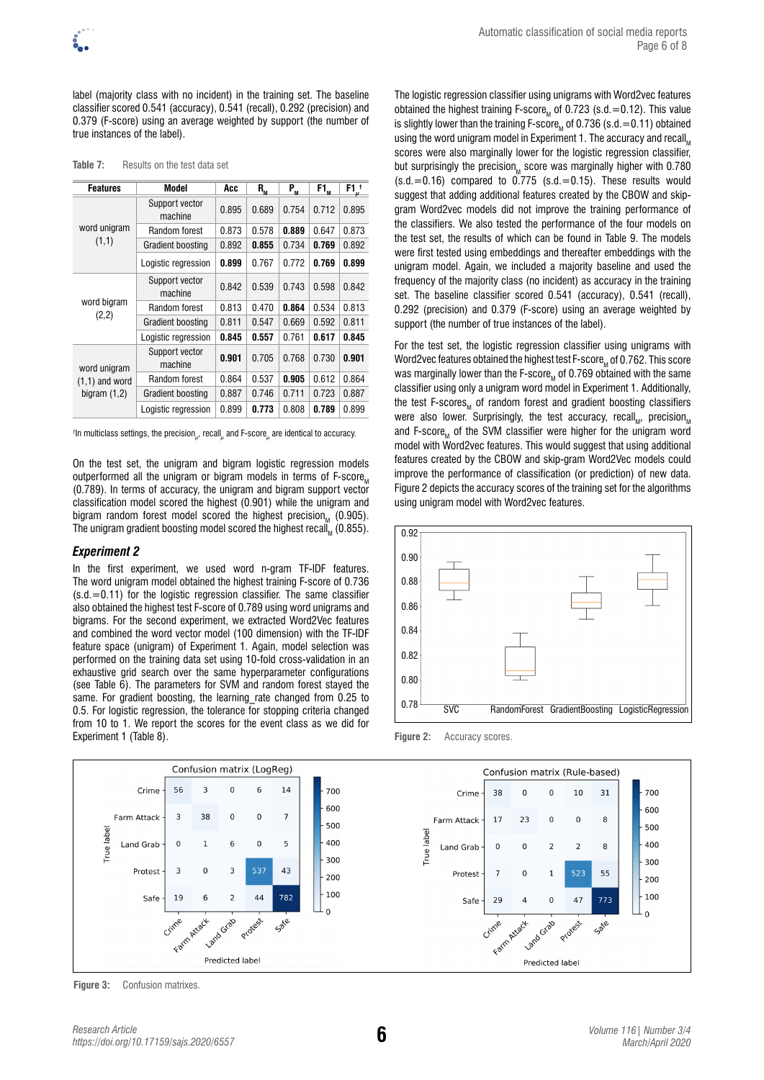label (majority class with no incident) in the training set. The baseline classifier scored 0.541 (accuracy), 0.541 (recall), 0.292 (precision) and 0.379 (F-score) using an average weighted by support (the number of true instances of the label).

|  |  | Table 7: |  |  |  | Results on the test data set |  |  |  |  |  |
|--|--|----------|--|--|--|------------------------------|--|--|--|--|--|
|--|--|----------|--|--|--|------------------------------|--|--|--|--|--|

| <b>Features</b>      | Model                     | Acc   | $R_{\rm M}$ | P <sub>m</sub> | $F1_{m}$ | F1 <sub>u</sub> <sup>†</sup> |
|----------------------|---------------------------|-------|-------------|----------------|----------|------------------------------|
|                      | Support vector<br>machine | 0.895 | 0.689       | 0.754          | 0.712    | 0.895                        |
| word unigram         | Random forest             | 0.873 | 0.578       | 0.889          | 0.647    | 0.873                        |
| (1,1)                | Gradient boosting         | 0.892 | 0.855       | 0.734          | 0.769    | 0.892                        |
|                      | Logistic regression       | 0.899 | 0.767       | 0.772          | 0.769    | 0.899                        |
| word bigram<br>(2,2) | Support vector<br>machine | 0.842 | 0.539       | 0.743          | 0.598    | 0.842                        |
|                      | Random forest             | 0.813 | 0.470       | 0.864          | 0.534    | 0.813                        |
|                      | Gradient boosting         | 0.811 | 0.547       | 0.669          | 0.592    | 0.811                        |
|                      | Logistic regression       | 0.845 | 0.557       | 0.761          | 0.617    | 0.845                        |
| word unigram         | Support vector<br>machine | 0.901 | 0.705       | 0.768          | 0.730    | 0.901                        |
| $(1,1)$ and word     | Random forest             | 0.864 | 0.537       | 0.905          | 0.612    | 0.864                        |
| bigram $(1,2)$       | Gradient boosting         | 0.887 | 0.746       | 0.711          | 0.723    | 0.887                        |
|                      | Logistic regression       | 0.899 | 0.773       | 0.808          | 0.789    | 0.899                        |

*†* In multiclass settings, the precision*<sup>µ</sup>* , recall*<sup>µ</sup>* and F-score*<sup>µ</sup>* are identical to accuracy.

On the test set, the unigram and bigram logistic regression models outperformed all the unigram or bigram models in terms of  $F\text{-score}_{M}$ (0.789). In terms of accuracy, the unigram and bigram support vector classification model scored the highest (0.901) while the unigram and bigram random forest model scored the highest precision $<sub>M</sub>$  (0.905).</sub> The unigram gradient boosting model scored the highest recall,  $(0.855)$ .

#### *Experiment 2*

In the first experiment, we used word n-gram TF-IDF features. The word unigram model obtained the highest training F-score of 0.736  $(s.d. = 0.11)$  for the logistic regression classifier. The same classifier also obtained the highest test F-score of 0.789 using word unigrams and bigrams. For the second experiment, we extracted Word2Vec features and combined the word vector model (100 dimension) with the TF-IDF feature space (unigram) of Experiment 1. Again, model selection was performed on the training data set using 10-fold cross-validation in an exhaustive grid search over the same hyperparameter configurations (see Table 6). The parameters for SVM and random forest stayed the same. For gradient boosting, the learning rate changed from 0.25 to 0.5. For logistic regression, the tolerance for stopping criteria changed from 10 to 1. We report the scores for the event class as we did for Experiment 1 (Table 8).

The logistic regression classifier using unigrams with Word2vec features obtained the highest training F-score, of 0.723 (s.d.  $=$  0.12). This value is slightly lower than the training F-score<sub>M</sub> of 0.736 (s.d. = 0.11) obtained using the word unigram model in Experiment 1. The accuracy and recall scores were also marginally lower for the logistic regression classifier, but surprisingly the precision $<sub>M</sub>$  score was marginally higher with 0.780</sub>  $(s.d. = 0.16)$  compared to  $0.775$   $(s.d. = 0.15)$ . These results would suggest that adding additional features created by the CBOW and skipgram Word2vec models did not improve the training performance of the classifiers. We also tested the performance of the four models on the test set, the results of which can be found in Table 9. The models were first tested using embeddings and thereafter embeddings with the unigram model. Again, we included a majority baseline and used the frequency of the majority class (no incident) as accuracy in the training set. The baseline classifier scored 0.541 (accuracy), 0.541 (recall), 0.292 (precision) and 0.379 (F-score) using an average weighted by support (the number of true instances of the label).

For the test set, the logistic regression classifier using unigrams with Word2vec features obtained the highest test F-score, of 0.762. This score was marginally lower than the F-score, of 0.769 obtained with the same classifier using only a unigram word model in Experiment 1. Additionally, the test F-scores, of random forest and gradient boosting classifiers were also lower. Surprisingly, the test accuracy, recall, precision, and F-score<sub>M</sub> of the SVM classifier were higher for the unigram word model with Word2vec features. This would suggest that using additional features created by the CBOW and skip-gram Word2Vec models could improve the performance of classification (or prediction) of new data. Figure 2 depicts the accuracy scores of the training set for the algorithms using unigram model with Word2vec features.



Figure 2: Accuracy scores.



**Figure 3:** Confusion matrixes.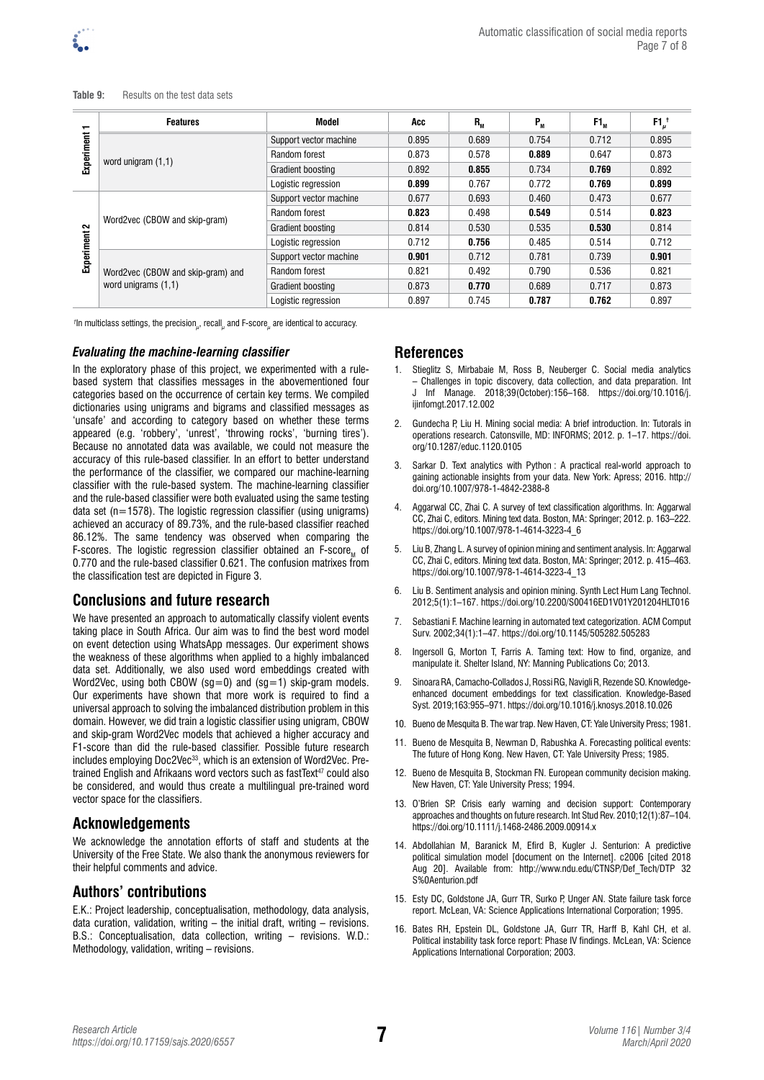

**Table 9:** Results on the test data sets

| $\overline{\phantom{0}}$ | <b>Features</b>                   | Model                  | Acc   | $R_{_{M}}$ | $P_{M}$ | $F1_{M}$ | $F1u$ <sup>t</sup> |
|--------------------------|-----------------------------------|------------------------|-------|------------|---------|----------|--------------------|
|                          |                                   | Support vector machine | 0.895 | 0.689      | 0.754   | 0.712    | 0.895              |
| Experiment               |                                   | Random forest          | 0.873 | 0.578      | 0.889   | 0.647    | 0.873              |
|                          | word unigram $(1,1)$              | Gradient boosting      | 0.892 | 0.855      | 0.734   | 0.769    | 0.892              |
|                          |                                   | Logistic regression    | 0.899 | 0.767      | 0.772   | 0.769    | 0.899              |
| $\sim$<br>Experiment     | Word2vec (CBOW and skip-gram)     | Support vector machine | 0.677 | 0.693      | 0.460   | 0.473    | 0.677              |
|                          |                                   | Random forest          | 0.823 | 0.498      | 0.549   | 0.514    | 0.823              |
|                          |                                   | Gradient boosting      | 0.814 | 0.530      | 0.535   | 0.530    | 0.814              |
|                          |                                   | Logistic regression    | 0.712 | 0.756      | 0.485   | 0.514    | 0.712              |
|                          |                                   | Support vector machine | 0.901 | 0.712      | 0.781   | 0.739    | 0.901              |
|                          | Word2vec (CBOW and skip-gram) and | Random forest          | 0.821 | 0.492      | 0.790   | 0.536    | 0.821              |
|                          | word unigrams (1,1)               | Gradient boosting      | 0.873 | 0.770      | 0.689   | 0.717    | 0.873              |
|                          |                                   | Logistic regression    | 0.897 | 0.745      | 0.787   | 0.762    | 0.897              |

*†* In multiclass settings, the precision*<sup>µ</sup>* , recall*<sup>µ</sup>* and F-score*<sup>µ</sup>* are identical to accuracy.

#### *Evaluating the machine-learning classifier*

In the exploratory phase of this project, we experimented with a rulebased system that classifies messages in the abovementioned four categories based on the occurrence of certain key terms. We compiled dictionaries using unigrams and bigrams and classified messages as 'unsafe' and according to category based on whether these terms appeared (e.g. 'robbery', 'unrest', 'throwing rocks', 'burning tires'). Because no annotated data was available, we could not measure the accuracy of this rule-based classifier. In an effort to better understand the performance of the classifier, we compared our machine-learning classifier with the rule-based system. The machine-learning classifier and the rule-based classifier were both evaluated using the same testing data set ( $n=1578$ ). The logistic regression classifier (using unigrams) achieved an accuracy of 89.73%, and the rule-based classifier reached 86.12%. The same tendency was observed when comparing the F-scores. The logistic regression classifier obtained an F-score $<sub>M</sub>$  of</sub> 0.770 and the rule-based classifier 0.621. The confusion matrixes from the classification test are depicted in Figure 3.

# **Conclusions and future research**

We have presented an approach to automatically classify violent events taking place in South Africa. Our aim was to find the best word model on event detection using WhatsApp messages. Our experiment shows the weakness of these algorithms when applied to a highly imbalanced data set. Additionally, we also used word embeddings created with Word2Vec, using both CBOW (sg=0) and (sg=1) skip-gram models. Our experiments have shown that more work is required to find a universal approach to solving the imbalanced distribution problem in this domain. However, we did train a logistic classifier using unigram, CBOW and skip-gram Word2Vec models that achieved a higher accuracy and F1-score than did the rule-based classifier. Possible future research includes employing Doc2Vec<sup>33</sup>, which is an extension of Word2Vec. Pretrained English and Afrikaans word vectors such as fastText<sup>47</sup> could also be considered, and would thus create a multilingual pre-trained word vector space for the classifiers.

# **Acknowledgements**

We acknowledge the annotation efforts of staff and students at the University of the Free State. We also thank the anonymous reviewers for their helpful comments and advice.

# **Authors' contributions**

E.K.: Project leadership, conceptualisation, methodology, data analysis, data curation, validation, writing – the initial draft, writing – revisions. B.S.: Conceptualisation, data collection, writing – revisions. W.D.: Methodology, validation, writing – revisions.

#### **References**

- 1. Stieglitz S, Mirbabaie M, Ross B, Neuberger C. Social media analytics – Challenges in topic discovery, data collection, and data preparation. Int J Inf Manage. 2018;39(October):156–168. https://doi.org/10.1016/j. ijinfomgt.2017.12.002
- 2. Gundecha P, Liu H. Mining social media: A brief introduction. In: Tutorals in operations research. Catonsville, MD: INFORMS; 2012. p. 1–17. https://doi. org/10.1287/educ.1120.0105
- 3. Sarkar D. Text analytics with Python : A practical real-world approach to gaining actionable insights from your data. New York: Apress; 2016. http:// doi.org/10.1007/978-1-4842-2388-8
- 4. Aggarwal CC, Zhai C. A survey of text classification algorithms. In: Aggarwal CC, Zhai C, editors. Mining text data. Boston, MA: Springer; 2012. p. 163–222. https://doi.org/10.1007/978-1-4614-3223-4\_6
- 5. Liu B, Zhang L. A survey of opinion mining and sentiment analysis. In: Aggarwal CC, Zhai C, editors. Mining text data. Boston, MA: Springer; 2012. p. 415–463. https://doi.org/10.1007/978-1-4614-3223-4\_13
- 6. Liu B. Sentiment analysis and opinion mining. Synth Lect Hum Lang Technol. 2012;5(1):1–167. https://doi.org/10.2200/S00416ED1V01Y201204HLT016
- 7. Sebastiani F. Machine learning in automated text categorization. ACM Comput Surv. 2002;34(1):1–47. https://doi.org/10.1145/505282.505283
- 8. Ingersoll G, Morton T, Farris A. Taming text: How to find, organize, and manipulate it. Shelter Island, NY: Manning Publications Co; 2013.
- 9. Sinoara RA, Camacho-Collados J, Rossi RG, Navigli R, Rezende SO. Knowledgeenhanced document embeddings for text classification. Knowledge-Based Syst. 2019;163:955–971. https://doi.org/10.1016/j.knosys.2018.10.026
- 10. Bueno de Mesquita B. The war trap. New Haven, CT: Yale University Press; 1981.
- 11. Bueno de Mesquita B, Newman D, Rabushka A, Forecasting political events: The future of Hong Kong. New Haven, CT: Yale University Press; 1985.
- 12. Bueno de Mesquita B, Stockman FN. European community decision making. New Haven, CT: Yale University Press; 1994.
- 13. O'Brien SP. Crisis early warning and decision support: Contemporary approaches and thoughts on future research. Int Stud Rev. 2010;12(1):87–104. https://doi.org/10.1111/j.1468-2486.2009.00914.x
- 14. Abdollahian M, Baranick M, Efird B, Kugler J. Senturion: A predictive political simulation model [document on the Internet]. c2006 [cited 2018 Aug 20]. Available from: http://www.ndu.edu/CTNSP/Def\_Tech/DTP 32 S%0Aenturion.pdf
- 15. Esty DC, Goldstone JA, Gurr TR, Surko P, Unger AN. State failure task force report. McLean, VA: Science Applications International Corporation; 1995.
- 16. Bates RH, Epstein DL, Goldstone JA, Gurr TR, Harff B, Kahl CH, et al. Political instability task force report: Phase IV findings. McLean, VA: Science Applications International Corporation; 2003.